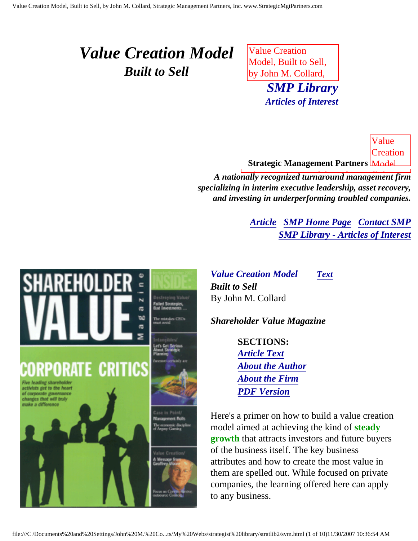## <span id="page-0-3"></span><span id="page-0-2"></span>*Value Creation Model Built to Sell*

 $\sigma$ 'n۵ æ

<span id="page-0-0"></span>**CRITICS** 

<span id="page-0-1"></span>that will tru

Value Creation Model, Built to Sell, by John M. Collard, **SMP Library**  $A + iA$ *public by Articles of Interest*

**Strategic Management Partners** Model, Value **Creation** 

Built to Value Creation Model, Built to Sell, by *A nationally recognized turnaround management firm* specializing in interim executive leadership, asset recovery, and investing in underperforming troubled companies.

> *[Article](#page-0-0) [SMP Home Page](http://members.aol.com/strategist/home.html#TOP) [Contact SMP](#page-8-0) [SMP Library - Articles of Interest](http://members.aol.com/stratlib3/libindx.html#TOP)*

Partners,

*Value Creation Model [Text](#page-2-0) Built to Sell* By John M. Collard

*Shareholder Value Magazine*

**SECTIONS:** *[Article Text](#page-2-0) [About the Author](#page-7-0) [About the Firm](#page-7-1) [PDF Version](http://members.aol.com/jlcollard/svm-vcm.pdf)*

Here's a primer on how to build a value creation model aimed at achieving the kind of **steady growth** that attracts investors and future buyers of the business itself. The key business attributes and how to create the most value in them are spelled out. While focused on private companies, the learning offered here can apply to any business.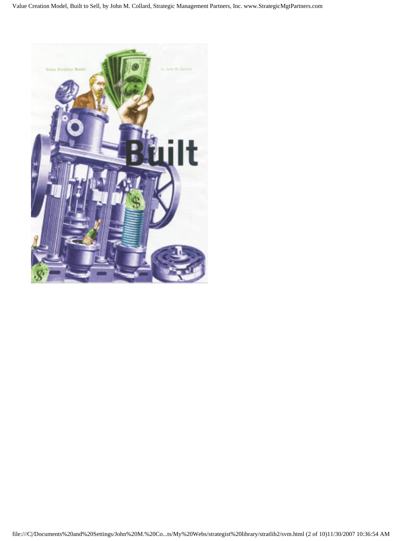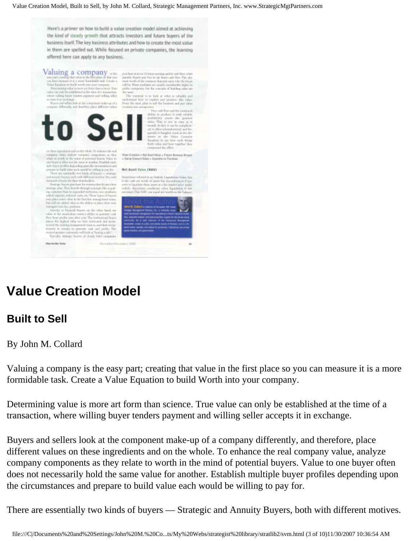Here's a primer on how to build a value creation model aimed at achieving the kind of steady growth that attracts investors and future buyers of the business itself. The key business attributes and how to create the most value in them are spelled out. While focused on private companies, the learning offered here can apply to any business.

who gailer task testures and are we

to Sell

The input state is the velocity towards the solid state of the state of the state of the state of the state of the state of the state of the state of the state of the state of the state of the state of the state of the st

and supports the second state of the component of the state of the state of the state of the state of the state of the state of the state of the state of the state of the state of the state of the state of the state of the

For a site stock<br>above entity) while to gravitate the problem of the regular system above<br> $\sim$  and the existing entrangement two is associated<br>as four the existing entrangement two is associated as<br> $\sim$  and performance an

 $\label{eq:V1} \textbf{Valuing} \text{ a corresponding the value where } \textit{V} \text{ is the number of two variables and for the two components, the value of the two lines is the two lines.} \footnotesize$  one part research the value is the five plan in that  $\textit{Cov}$  is a mark to have an interval and the compact of the compact of the compact of the compact of

rend is to look at what is valuable and inderstad how to exploit and powers.<br>See bot it the component make up of a . . From the start plus to sell the business and continue into prespects

Sumstimes referred to as Owledy Lagoniation Value, this is the cools not worth of more less encoundermore if you codely disposition conditions when liquidation is not recovered This NAV can reach set rearely on the balance

| rat tenang.<br>kalir unung          | John W. Enlistin a chance of Arraysis, MI Areal                                                                                                                                                                  |
|-------------------------------------|------------------------------------------------------------------------------------------------------------------------------------------------------------------------------------------------------------------|
| and, see<br>ste eak<br>all business | Smagic Management Pertrem, Inc., a videovily visible<br>lead tomatoric hengament firm gocialisting in interim pedaline hoster<br>415, MONAR WWARE AND AND ANGELES VALUES OF PERSONS HERE                         |
| 1 lacen-<br><b>CASTLE</b>           | seconds to a set states of to because thousand<br>Association; survey on public stati private founds of diversed; and is a bit-<br>quest author, speaker, and adultar to aperturalist, institutional and private |
| its. The<br>MOT.                    | <b>Aguly Econolists, and glasminants.</b>                                                                                                                                                                        |

### <span id="page-2-0"></span>**Value Creation Model**

#### **Built to Sell**

By John M. Collard

Valuing a company is the easy part; creating that value in the first place so you can measure it is a more formidable task. Create a Value Equation to build Worth into your company.

Determining value is more art form than science. True value can only be established at the time of a transaction, where willing buyer tenders payment and willing seller accepts it in exchange.

Buyers and sellers look at the component make-up of a company differently, and therefore, place different values on these ingredients and on the whole. To enhance the real company value, analyze company components as they relate to worth in the mind of potential buyers. Value to one buyer often does not necessarily hold the same value for another. Establish multiple buyer profiles depending upon the circumstances and prepare to build value each would be willing to pay for.

There are essentially two kinds of buyers — Strategic and Annuity Buyers, both with different motives.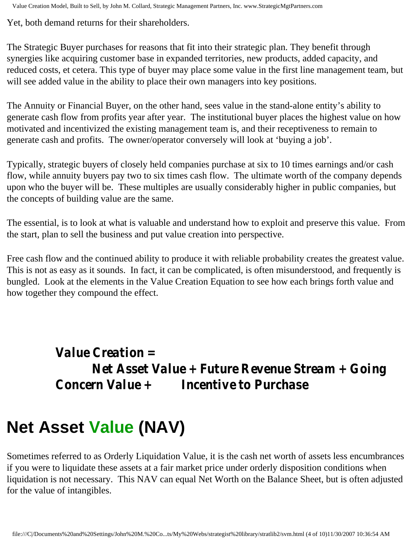Yet, both demand returns for their shareholders.

The Strategic Buyer purchases for reasons that fit into their strategic plan. They benefit through synergies like acquiring customer base in expanded territories, new products, added capacity, and reduced costs, et cetera. This type of buyer may place some value in the first line management team, but will see added value in the ability to place their own managers into key positions.

The Annuity or Financial Buyer, on the other hand, sees value in the stand-alone entity's ability to generate cash flow from profits year after year. The institutional buyer places the highest value on how motivated and incentivized the existing management team is, and their receptiveness to remain to generate cash and profits. The owner/operator conversely will look at 'buying a job'.

Typically, strategic buyers of closely held companies purchase at six to 10 times earnings and/or cash flow, while annuity buyers pay two to six times cash flow. The ultimate worth of the company depends upon who the buyer will be. These multiples are usually considerably higher in public companies, but the concepts of building value are the same.

The essential, is to look at what is valuable and understand how to exploit and preserve this value. From the start, plan to sell the business and put value creation into perspective.

Free cash flow and the continued ability to produce it with reliable probability creates the greatest value. This is not as easy as it sounds. In fact, it can be complicated, is often misunderstood, and frequently is bungled. Look at the elements in the Value Creation Equation to see how each brings forth value and how together they compound the effect.

> *Value Creation = Net Asset Value + Future Revenue Stream + Going Concern Value + Incentive to Purchase*

# **Net Asset Value (NAV)**

Sometimes referred to as Orderly Liquidation Value, it is the cash net worth of assets less encumbrances if you were to liquidate these assets at a fair market price under orderly disposition conditions when liquidation is not necessary. This NAV can equal Net Worth on the Balance Sheet, but is often adjusted for the value of intangibles.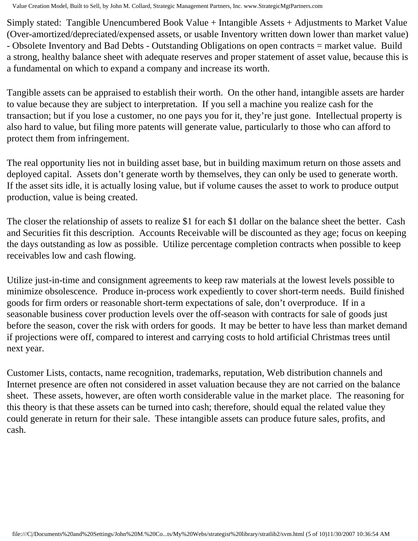Simply stated: Tangible Unencumbered Book Value + Intangible Assets + Adjustments to Market Value (Over-amortized/depreciated/expensed assets, or usable Inventory written down lower than market value) - Obsolete Inventory and Bad Debts - Outstanding Obligations on open contracts = market value. Build a strong, healthy balance sheet with adequate reserves and proper statement of asset value, because this is a fundamental on which to expand a company and increase its worth.

Tangible assets can be appraised to establish their worth. On the other hand, intangible assets are harder to value because they are subject to interpretation. If you sell a machine you realize cash for the transaction; but if you lose a customer, no one pays you for it, they're just gone. Intellectual property is also hard to value, but filing more patents will generate value, particularly to those who can afford to protect them from infringement.

The real opportunity lies not in building asset base, but in building maximum return on those assets and deployed capital. Assets don't generate worth by themselves, they can only be used to generate worth. If the asset sits idle, it is actually losing value, but if volume causes the asset to work to produce output production, value is being created.

The closer the relationship of assets to realize \$1 for each \$1 dollar on the balance sheet the better. Cash and Securities fit this description. Accounts Receivable will be discounted as they age; focus on keeping the days outstanding as low as possible. Utilize percentage completion contracts when possible to keep receivables low and cash flowing.

Utilize just-in-time and consignment agreements to keep raw materials at the lowest levels possible to minimize obsolescence. Produce in-process work expediently to cover short-term needs. Build finished goods for firm orders or reasonable short-term expectations of sale, don't overproduce. If in a seasonable business cover production levels over the off-season with contracts for sale of goods just before the season, cover the risk with orders for goods. It may be better to have less than market demand if projections were off, compared to interest and carrying costs to hold artificial Christmas trees until next year.

Customer Lists, contacts, name recognition, trademarks, reputation, Web distribution channels and Internet presence are often not considered in asset valuation because they are not carried on the balance sheet. These assets, however, are often worth considerable value in the market place. The reasoning for this theory is that these assets can be turned into cash; therefore, should equal the related value they could generate in return for their sale. These intangible assets can produce future sales, profits, and cash.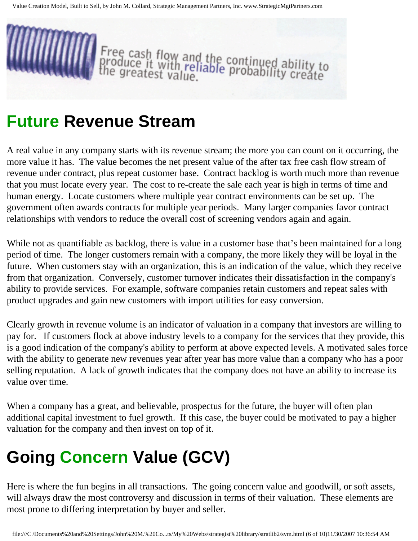

# **Future Revenue Stream**

A real value in any company starts with its revenue stream; the more you can count on it occurring, the more value it has. The value becomes the net present value of the after tax free cash flow stream of revenue under contract, plus repeat customer base. Contract backlog is worth much more than revenue that you must locate every year. The cost to re-create the sale each year is high in terms of time and human energy. Locate customers where multiple year contract environments can be set up. The government often awards contracts for multiple year periods. Many larger companies favor contract relationships with vendors to reduce the overall cost of screening vendors again and again.

While not as quantifiable as backlog, there is value in a customer base that's been maintained for a long period of time. The longer customers remain with a company, the more likely they will be loyal in the future. When customers stay with an organization, this is an indication of the value, which they receive from that organization. Conversely, customer turnover indicates their dissatisfaction in the company's ability to provide services. For example, software companies retain customers and repeat sales with product upgrades and gain new customers with import utilities for easy conversion.

Clearly growth in revenue volume is an indicator of valuation in a company that investors are willing to pay for. If customers flock at above industry levels to a company for the services that they provide, this is a good indication of the company's ability to perform at above expected levels. A motivated sales force with the ability to generate new revenues year after year has more value than a company who has a poor selling reputation. A lack of growth indicates that the company does not have an ability to increase its value over time.

When a company has a great, and believable, prospectus for the future, the buyer will often plan additional capital investment to fuel growth. If this case, the buyer could be motivated to pay a higher valuation for the company and then invest on top of it.

# **Going Concern Value (GCV)**

Here is where the fun begins in all transactions. The going concern value and goodwill, or soft assets, will always draw the most controversy and discussion in terms of their valuation. These elements are most prone to differing interpretation by buyer and seller.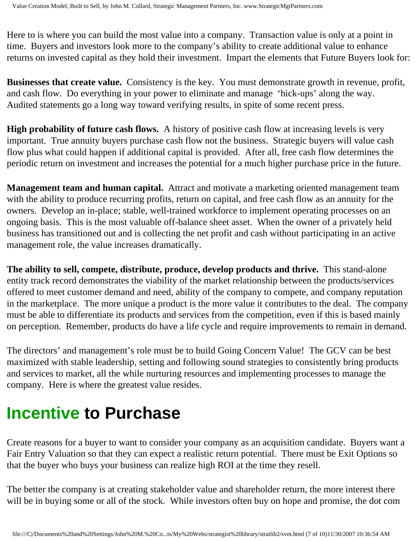Here to is where you can build the most value into a company. Transaction value is only at a point in time. Buyers and investors look more to the company's ability to create additional value to enhance returns on invested capital as they hold their investment. Impart the elements that Future Buyers look for:

**Businesses that create value.** Consistency is the key. You must demonstrate growth in revenue, profit, and cash flow. Do everything in your power to eliminate and manage 'hick-ups' along the way. Audited statements go a long way toward verifying results, in spite of some recent press.

**High probability of future cash flows.** A history of positive cash flow at increasing levels is very important. True annuity buyers purchase cash flow not the business. Strategic buyers will value cash flow plus what could happen if additional capital is provided. After all, free cash flow determines the periodic return on investment and increases the potential for a much higher purchase price in the future.

**Management team and human capital.** Attract and motivate a marketing oriented management team with the ability to produce recurring profits, return on capital, and free cash flow as an annuity for the owners. Develop an in-place; stable, well-trained workforce to implement operating processes on an ongoing basis. This is the most valuable off-balance sheet asset. When the owner of a privately held business has transitioned out and is collecting the net profit and cash without participating in an active management role, the value increases dramatically.

**The ability to sell, compete, distribute, produce, develop products and thrive.** This stand-alone entity track record demonstrates the viability of the market relationship between the products/services offered to meet customer demand and need, ability of the company to compete, and company reputation in the marketplace. The more unique a product is the more value it contributes to the deal. The company must be able to differentiate its products and services from the competition, even if this is based mainly on perception. Remember, products do have a life cycle and require improvements to remain in demand.

The directors' and management's role must be to build Going Concern Value! The GCV can be best maximized with stable leadership, setting and following sound strategies to consistently bring products and services to market, all the while nurturing resources and implementing processes to manage the company. Here is where the greatest value resides.

# **Incentive to Purchase**

Create reasons for a buyer to want to consider your company as an acquisition candidate. Buyers want a Fair Entry Valuation so that they can expect a realistic return potential. There must be Exit Options so that the buyer who buys your business can realize high ROI at the time they resell.

The better the company is at creating stakeholder value and shareholder return, the more interest there will be in buying some or all of the stock. While investors often buy on hope and promise, the dot com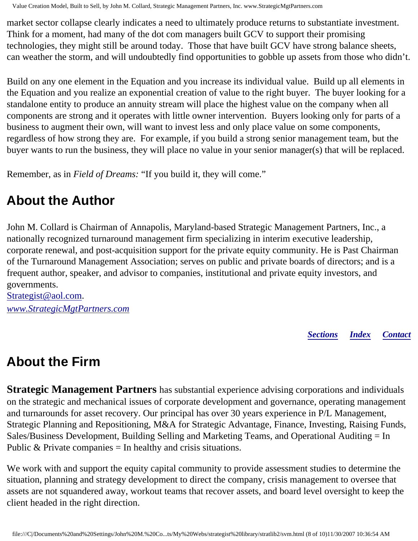market sector collapse clearly indicates a need to ultimately produce returns to substantiate investment. Think for a moment, had many of the dot com managers built GCV to support their promising technologies, they might still be around today. Those that have built GCV have strong balance sheets, can weather the storm, and will undoubtedly find opportunities to gobble up assets from those who didn't.

Build on any one element in the Equation and you increase its individual value. Build up all elements in the Equation and you realize an exponential creation of value to the right buyer. The buyer looking for a standalone entity to produce an annuity stream will place the highest value on the company when all components are strong and it operates with little owner intervention. Buyers looking only for parts of a business to augment their own, will want to invest less and only place value on some components, regardless of how strong they are. For example, if you build a strong senior management team, but the buyer wants to run the business, they will place no value in your senior manager(s) that will be replaced.

Remember, as in *Field of Dreams:* "If you build it, they will come."

### <span id="page-7-0"></span>**About the Author**

John M. Collard is Chairman of Annapolis, Maryland-based Strategic Management Partners, Inc., a nationally recognized turnaround management firm specializing in interim executive leadership, corporate renewal, and post-acquisition support for the private equity community. He is Past Chairman of the Turnaround Management Association; serves on public and private boards of directors; and is a frequent author, speaker, and advisor to companies, institutional and private equity investors, and governments.

[Strategist@aol.com.](mailto:Strategist@aol.com?subject=SMPlibrary/feature articles) *[www.StrategicMgtPartners.com](http://www.strategicmgtpartners.com/)*

*[Sections](#page-0-1) [Index](#page-0-2) [Contact](#page-8-0)*

## <span id="page-7-1"></span>**About the Firm**

**Strategic Management Partners** has substantial experience advising corporations and individuals on the strategic and mechanical issues of corporate development and governance, operating management and turnarounds for asset recovery. Our principal has over 30 years experience in P/L Management, Strategic Planning and Repositioning, M&A for Strategic Advantage, Finance, Investing, Raising Funds, Sales/Business Development, Building Selling and Marketing Teams, and Operational Auditing = In Public  $&$  Private companies  $=$  In healthy and crisis situations.

We work with and support the equity capital community to provide assessment studies to determine the situation, planning and strategy development to direct the company, crisis management to oversee that assets are not squandered away, workout teams that recover assets, and board level oversight to keep the client headed in the right direction.